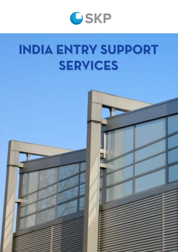

# **INDIA ENTRY SUPPORT SERVICES**

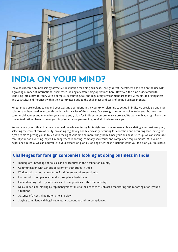

## **INDIA ON YOUR MIND?**

India has become an increasingly attractive destination for doing business. Foreign direct investment has been on the rise with a growing number of international businesses looking at establishing operations here. However, the risks associated with venturing into a new territory with a complex accounting, tax and regulatory environment are many. A multitude of languages and vast cultural differences within the country itself add to the challenges and costs of doing business in India.

Whether you are looking to expand your existing operations in the country or planning to set up in India, we provide a one-stop solution and handhold investors through the intricacies of the process. Our strength lies in the ability to be your business and commercial adviser and managing your entire entry plan for India as a comprehensive project. We work with you right from the conceptualisation phase to being your implementation partner in greenfield business set-ups.

We can assist you with all that needs to be done while entering India right from market research, validating your business plan, selecting the correct form of entity, providing regulatory and tax advisory, scouting for a location and acquiring land, hiring the right people to getting you in touch with the right vendors and monitoring them. Once your business is set up, we can even take care of your book-keeping, payroll, management reporting, company secretarial and compliance requirements. With years of experience in India, we can add value to your expansion plan by looking after these functions while you focus on your business.

#### **Challenges for foreign companies looking at doing business in India**

- Inadequate knowledge of policies and procedures in the destination country
- Communication with various government authorities in India
- Working with various consultants for different requirements/tasks
- Liaising with multiple local vendors, suppliers, logistics, etc.
- Understanding industry intricacies and local practices within the Industry
- Delay in decision-making by top management due to the absence of unbiased monitoring and reporting of on-ground situations
- Absence of a central point for a holistic view
- Staying compliant with legal, regulatory, accounting and tax compliances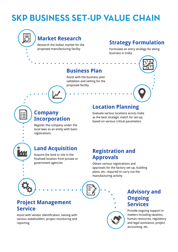## **SKP BUSINESS SET-UP VALUE CHAIN**



### **Market Research**

Research the Indian market for the proposed manufacturing facility

### **Strategy Formulation**

Formulate an entry strategy for doing business in India

### **Business Plan**

Assist with the business plan validation and vetting for the proposed facility

### **Company Incorporation**

Register the company under the local laws as an entity with basic registrations

### **Location Planning**

Evaluate various locations across India as the best strategic match for set-up, based on various critical parameters

## **Land Acquisition**

Acquire the land or site in the finalised location from private or government agencies

### **Registration and Approvals**

Obtain various registrations and approvals for the factory set-up, building plans, etc. required to carry out the manufacturing activity

### **Project Management Service**

Assist with vendor identification, liaising with various stakeholders, project monitoring and reporting



### **Advisory and Ongoing Services**

Provide ongoing support in matters including taxation, human resources, regulatory and legal assistance, project accounting, etc.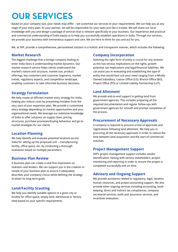## **OUR SERVICES**

Based on your company size, your needs may differ – we customise our services to your requirements. We can help you at any stage of your entry plan. As your partner, we will be responsible for your tasks just like a trustee. We will share our local knowledge with you and design a package of services that is relevant specifically to your business. Our experience and practical and commercial understanding of India equip us to help you successfully establish operations in India. Through our services, we provide your business with tremendous support and care. We are here to think for you and act for you.

We, at SKP, provide a comprehensive, personalised solution in a holistic and transparent manner, which includes the following:

#### **Market Research**

The biggest challenge that a foreign company looking to enter India faces is understanding market dynamics. Our market research service helps clients understand the market's nature and structure, market size, product offerings, key customers and customer Segments, market trends, regulatory aspects, and competition landscape, enabling customers to take informed business decisions.

#### **Strategy Formulation**

We help create an efficient market entry strategy for India, helping you reduce costs by preventing mistakes from the very start of your expansion plan. We provide a customised entry strategy depending on market opportunities and your organisational needs. We leverage our extensive knowledge of India to offer solutions on supply chain, pricing structures, purchase processes/buying behaviour and go-to market strategies for our clients

#### **Location Planning**

We help identify and evaluate potential locations across India for setting up the proposed unit – manufacturing facility, office space, etc. by conducting a thorough evaluation based on multiple parameters.

#### **Business Plan Review**

A business plan can create a vital first impression on investors and lenders. We can support you in the creation or review of your business plan to ensure it adequately describes your company's focus while defining the strategy to attain its long-term goals.

#### **Land/Facility Scouting**

We help you identify suitable options in a given city or locality for office space, empty land, warehouse or factory shed based on your specific requirements.

#### **Company Incorporation**

Selecting the right form of entity is crucial for any investor as this has serious implications on the rights, growth potential, tax implications and legal/financial liabilities. We can assist you in evaluating and establishing the type of entity that would best suit your need ranging from a Wholly Owned Subsidiary, Liaison Office (LO), Branch Office (BO), Project Office (PO) or Limited Liability Partnership (LLP).

#### **Land Allotment**

We provide end-to-end support in getting land from government agencies. This includes preparing all the required documentation and regular follow-ups with government agencies for smooth and prompt completion of the process.

#### **Procurement of Necessary Approvals**

A company is required to procure a host of approvals and registrations following land allotment. We help you in procuring all the necessary approvals in order to reduce the time between land acquisition and the start of commercial activities.

#### **Project Management Support**

SKP's project management support includes vendor identification, liaising with various stakeholders, project monitoring and reporting in order to ensure the project is completed successfully and on time.

#### **Advisory and Ongoing Support**

We provide assistance related to regulatory, legal, taxation, human resources, and project accounting support. We also provide other ongoing services including accounting, bookkeeping, direct and indirect tax compliances, company secretarial services, audit and assurance services, and incentives evaluation.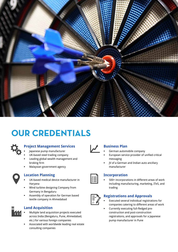

## **OUR CREDENTIALS**



#### **Project Management Services**

- Japanese pump manufacturer
- UK-based steel trading company
- Leading global wealth management and broking firm
- Malaysian government agency



#### **Location Planning**

- UK-based medical device manufacturer in Haryana
- Wind turbine designing Company from Germany in Bengaluru
- Assembly of operation for German based textile company in Ahmedabad



#### **Land Acquisition**

- Multiple land acquisition projects executed across India (Bengaluru, Pune, Ahmedabad, etc.) for various foreign companies
- Associated with worldwide leading real estate consulting companies

#### **Business Plan**

- German automobile company
- European service provider of unified critical messaging
- JV of a German and Indian auto ancillary manufacturer



#### **Incorporation**

 500+ incorporations in different areas of work including manufacturing, marketing, ITeS, and trading



#### **Registrations and Approvals**

- Executed several individual registrations for companies catering to different areas of work
- Currently executing full-fledged preconstruction and post-construction registrations, and approvals for a Japanese pump manufacturer in Pune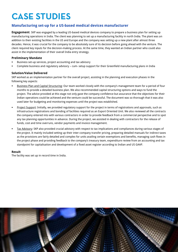## **CASE STUDIES**

#### **Manufacturing set-up for a US-based medical devices manufacturer**

**Engagement**: SKP was engaged by a leading US-based medical devices company to prepare a business plan for setting up manufacturing operations in India. The client was planning to set up a manufacturing facility in north India. The plant was an addition to their existing facilities in the US and Europe and the company was setting up a new plant after almost three decades. Hence, it was crucial for the company to be absolutely sure of its decision before going ahead with the venture. The client required key inputs for the decision-making process. At the same time, they wanted an Indian partner who could also assist in the implementation of their overall India entry strategy.

#### **Preliminary Mandate**

- Business set-up services, project accounting and tax advisory
- Complete business and regulatory advisory cum- setup support for their Greenfield manufacturing plans in India

#### **Solution/Value Delivered**

SKP worked as an implementation partner for the overall project, assisting in the planning and execution phases in the following key aspects:

- Business Plan and Capital Structuring: Our team worked closely with the company's management team for a period of four months to provide a detailed business plan. We also recommended capital structuring options and ways to fund the project. The advice provided at this stage not only gave the company confidence but assurance that the objectives for their Indian operations could be achieved and the venture could be successful. The document was so thorough that it was also used later for budgeting and monitoring expenses until the project was established.
- Project Support: Initially, we provided regulatory support for the project in terms of registrations and approvals, such as infrastructure registrations and bonding of facilities required as an Export Oriented Unit. We also reviewed all the contracts the company entered into with various contractors in order to provide feedback from a commercial perspective and to spot any tax planning opportunities in advance. During the project, we assisted in dealing with contractors for the release of funds, cost and time overruns, vendor payments and invoice management.
- Tax Advisory: SKP also provided crucial advisory with respect to tax implications and compliances during various stages of the project. It mainly included setting up their inter-company transfer pricing, preparing detailed manuals for indirect taxes as the provisions are fairly detailed and complex for units availing certain exemptions and benefits, managing cash flows in the project phase and providing feedback to the company's treasury team, expenditure review from an accounting and tax standpoint for capitalisation and development of a fixed asset register according to Indian and US GAAP.

#### **Result**

The facility was set up in record time in India.

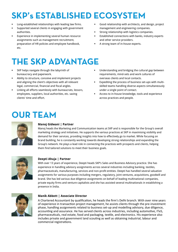## **SKP's ESTABLISHED ECOSYSTEM**

- Long-established relationships with leading law firms.
- Supported several clients in engaging with government authorities.
- Experience in implementing several human resource assignments such as management recruitment, preparation of HR policies and employee handbook, etc.
- Good relationship with architects, and design, project management and engineering companies.
- Strong relationship with logistics companies.
- Established connections with banks, industry experts and other service providers.
- A strong team of in-house experts.

## **THE SKP ADVANTAGE**

- SKP helps navigate through the labyrinth of bureaucracy and paperwork.
- Ability to structure, conceive and implement projects and aligning the client's objectives with all relevant legal, commercial, financial and fiscal angles.
- Linking all efforts seamlessly with bureaucrats, lessors, employees, suppliers, local authorities, etc. saving clients' time and effort.
- Understanding and bridging the cultural gap between requirements, mind-sets and work cultures of overseas clients and local contacts.
- Expediting the process of business set-ups with multiskilled teams handling diverse aspects simultaneously under a single point of contact.
- Access to in-house knowledge, tools and experience across practices and people.

## **OUR TEAM**



#### **Manoj Gidwani | Partner**

Manoj heads the Marketing and Communication teams at SKP and is responsible for the Group's overall marketing strategy and initiatives. He supports the various practices at SKP in maximising visibility and demand for their services, providing insights into how to effectively go to market. While focusing on brand building, he is constantly working towards developing strong relationships and expanding the Group's network. He plays a lead role in connecting the practices with prospects and clients, helping them find tailored solutions to meet their business goals.



#### **Deepti Ahuja | Partner**

With over 13 years of experience, Deepti heads SKP's Sales and Business Advisory practice. She has experience in handling advisory assignments across several industries including banking, textiles, pharmaceuticals, manufacturing, services and non-profit entities. Deepti has handled several valuation assignments for various purposes including mergers, regulatory, joint ventures, acquisitions, goodwill and brand. She has led various due diligence assignments on behalf of leading multinational companies, private equity firms and venture capitalists and she has assisted several multinationals in establishing a presence in India.



#### **Manik Abbott | Associate Director**

A Chartered Accountant by qualification, he heads the firm's Delhi branch. With over nine years of experience in transaction project management, he assists clients through the pre-investment phase, handling assignments related to business set-up and modelling advisory, due diligence, accounting and assurance. He has served clients across industries, including automotive, ITeS, pharmaceuticals, real estate, food and packaging, textile, and electronics. His experience also includes private and government land scouting as well as obtaining industrial, labour and commercial registrations.